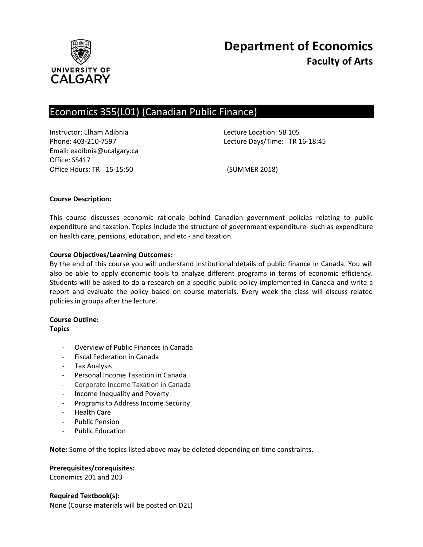

# Economics 355(L01) (Canadian Public Finance)

Instructor: Elham Adibnia Lecture Location: SB 105 Email: eadibnia@ucalgary.ca Office: SS417 Office Hours: TR 15-15:50 (SUMMER 2018)

Phone: 403-210-7597 Lecture Days/Time: TR 16-18:45

#### **Course Description:**

This course discusses economic rationale behind Canadian government policies relating to public expenditure and taxation. Topics include the structure of government expenditure- such as expenditure on health care, pensions, education, and etc.- and taxation.

## **Course Objectives/Learning Outcomes:**

By the end of this course you will understand institutional details of public finance in Canada. You will also be able to apply economic tools to analyze different programs in terms of economic efficiency. Students will be asked to do a research on a specific public policy implemented in Canada and write a report and evaluate the policy based on course materials. Every week the class will discuss related policies in groups after the lecture.

## **Course Outline:**

#### **Topics**

- Overview of Public Finances in Canada
- Fiscal Federation in Canada
- Tax Analysis
- Personal Income Taxation in Canada
- Corporate Income Taxation in Canada
- Income Inequality and Poverty
- Programs to Address Income Security
- Health Care
- Public Pension
- Public Education

**Note:** Some of the topics listed above may be deleted depending on time constraints.

#### **Prerequisites/corequisites:**

Economics 201 and 203

#### **Required Textbook(s):**

None (Course materials will be posted on D2L)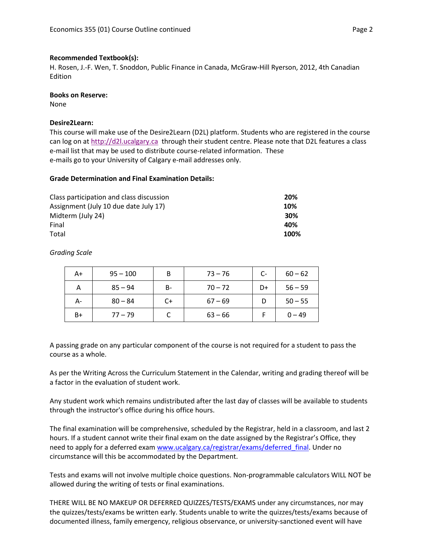#### **Recommended Textbook(s):**

H. Rosen, J.-F. Wen, T. Snoddon, Public Finance in Canada, McGraw-Hill Ryerson, 2012, 4th Canadian Edition

#### **Books on Reserve:**

None

#### **Desire2Learn:**

This course will make use of the Desire2Learn (D2L) platform. Students who are registered in the course can log on a[t http://d2l.ucalgary.ca](http://d2l.ucalgary.ca/) through their student centre. Please note that D2L features a class e-mail list that may be used to distribute course-related information. These e-mails go to your University of Calgary e-mail addresses only.

#### **Grade Determination and Final Examination Details:**

| Class participation and class discussion | 20%  |
|------------------------------------------|------|
| Assignment (July 10 due date July 17)    | 10%  |
| Midterm (July 24)                        | 30%  |
| Final                                    | 40%  |
| Total                                    | 100% |

*Grading Scale*

| A+ | $95 - 100$ | B     | $73 - 76$ | $C-$ | $60 - 62$ |
|----|------------|-------|-----------|------|-----------|
| А  | $85 - 94$  | $B -$ | $70 - 72$ | D+   | $56 - 59$ |
| А- | $80 - 84$  | $C+$  | $67 - 69$ |      | $50 - 55$ |
| B+ | $77 - 79$  |       | $63 - 66$ |      | $0 - 49$  |

A passing grade on any particular component of the course is not required for a student to pass the course as a whole.

As per the Writing Across the Curriculum Statement in the Calendar, writing and grading thereof will be a factor in the evaluation of student work.

Any student work which remains undistributed after the last day of classes will be available to students through the instructor's office during his office hours.

The final examination will be comprehensive, scheduled by the Registrar, held in a classroom, and last 2 hours. If a student cannot write their final exam on the date assigned by the Registrar's Office, they need to apply for a deferred exam [www.ucalgary.ca/registrar/exams/deferred\\_final.](http://www.ucalgary.ca/registrar/exams/deferred_final) Under no circumstance will this be accommodated by the Department.

Tests and exams will not involve multiple choice questions. Non-programmable calculators WILL NOT be allowed during the writing of tests or final examinations.

THERE WILL BE NO MAKEUP OR DEFERRED QUIZZES/TESTS/EXAMS under any circumstances, nor may the quizzes/tests/exams be written early. Students unable to write the quizzes/tests/exams because of documented illness, family emergency, religious observance, or university-sanctioned event will have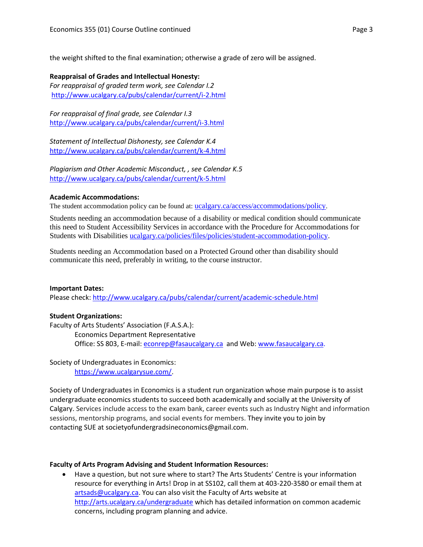the weight shifted to the final examination; otherwise a grade of zero will be assigned.

## **Reappraisal of Grades and Intellectual Honesty:**

*For reappraisal of graded term work, see Calendar I.2* <http://www.ucalgary.ca/pubs/calendar/current/i-2.html>

*For reappraisal of final grade, see Calendar I.3* <http://www.ucalgary.ca/pubs/calendar/current/i-3.html>

*Statement of Intellectual Dishonesty, see Calendar K.4* <http://www.ucalgary.ca/pubs/calendar/current/k-4.html>

*Plagiarism and Other Academic Misconduct, , see Calendar K.5* <http://www.ucalgary.ca/pubs/calendar/current/k-5.html>

## **Academic Accommodations:**

The student accommodation policy can be found at: [ucalgary.ca/access/accommodations/policy](http://www.ucalgary.ca/access/accommodations/policy).

Students needing an accommodation because of a disability or medical condition should communicate this need to Student Accessibility Services in accordance with the Procedure for Accommodations for Students with Disabilities [ucalgary.ca/policies/files/policies/student-accommodation-policy.](http://www.ucalgary.ca/policies/files/policies/student-accommodation-policy.pdf)

Students needing an Accommodation based on a Protected Ground other than disability should communicate this need, preferably in writing, to the course instructor.

#### **Important Dates:**

Please check:<http://www.ucalgary.ca/pubs/calendar/current/academic-schedule.html>

#### **Student Organizations:**

Faculty of Arts Students' Association (F.A.S.A.): Economics Department Representative Office: SS 803, E-mail: [econrep@fasaucalgary.ca](mailto:econrep@fasaucalgary.ca) and Web[: www.fasaucalgary.ca.](http://www.fasaucalgary.ca/)

Society of Undergraduates in Economics: [https://www.ucalgarysue.com/.](https://www.ucalgarysue.com/)

Society of Undergraduates in Economics is a student run organization whose main purpose is to assist undergraduate economics students to succeed both academically and socially at the University of Calgary. Services include access to the exam bank, career events such as Industry Night and information sessions, mentorship programs, and social events for members. They invite you to join by contacting SUE at societyofundergradsineconomics@gmail.com.

#### **Faculty of Arts Program Advising and Student Information Resources:**

 Have a question, but not sure where to start? The Arts Students' Centre is your information resource for everything in Arts! Drop in at SS102, call them at 403-220-3580 or email them at [artsads@ucalgary.ca.](mailto:artsads@ucalgary.ca) You can also visit the Faculty of Arts website at <http://arts.ucalgary.ca/undergraduate> which has detailed information on common academic concerns, including program planning and advice.